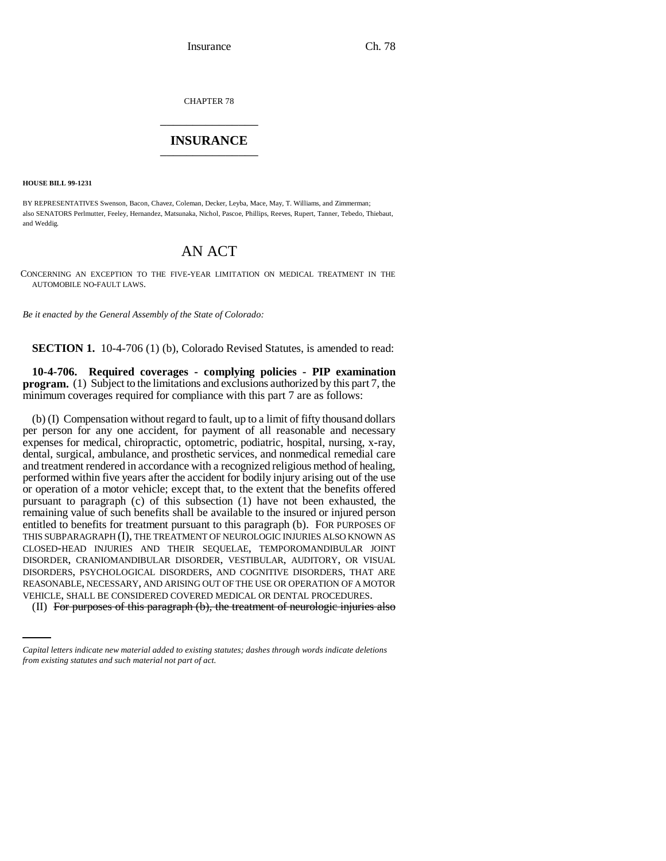CHAPTER 78 \_\_\_\_\_\_\_\_\_\_\_\_\_\_\_

## **INSURANCE** \_\_\_\_\_\_\_\_\_\_\_\_\_\_\_

**HOUSE BILL 99-1231** 

BY REPRESENTATIVES Swenson, Bacon, Chavez, Coleman, Decker, Leyba, Mace, May, T. Williams, and Zimmerman; also SENATORS Perlmutter, Feeley, Hernandez, Matsunaka, Nichol, Pascoe, Phillips, Reeves, Rupert, Tanner, Tebedo, Thiebaut, and Weddig.

## AN ACT

CONCERNING AN EXCEPTION TO THE FIVE-YEAR LIMITATION ON MEDICAL TREATMENT IN THE AUTOMOBILE NO-FAULT LAWS.

*Be it enacted by the General Assembly of the State of Colorado:*

**SECTION 1.** 10-4-706 (1) (b), Colorado Revised Statutes, is amended to read:

**10-4-706. Required coverages - complying policies - PIP examination program.** (1) Subject to the limitations and exclusions authorized by this part 7, the minimum coverages required for compliance with this part 7 are as follows:

REASONABLE, NECESSARY, AND ARISING OUT OF THE USE OR OPERATION OF A MOTOR (b) (I) Compensation without regard to fault, up to a limit of fifty thousand dollars per person for any one accident, for payment of all reasonable and necessary expenses for medical, chiropractic, optometric, podiatric, hospital, nursing, x-ray, dental, surgical, ambulance, and prosthetic services, and nonmedical remedial care and treatment rendered in accordance with a recognized religious method of healing, performed within five years after the accident for bodily injury arising out of the use or operation of a motor vehicle; except that, to the extent that the benefits offered pursuant to paragraph (c) of this subsection (1) have not been exhausted, the remaining value of such benefits shall be available to the insured or injured person entitled to benefits for treatment pursuant to this paragraph (b). FOR PURPOSES OF THIS SUBPARAGRAPH (I), THE TREATMENT OF NEUROLOGIC INJURIES ALSO KNOWN AS CLOSED-HEAD INJURIES AND THEIR SEQUELAE, TEMPOROMANDIBULAR JOINT DISORDER, CRANIOMANDIBULAR DISORDER, VESTIBULAR, AUDITORY, OR VISUAL DISORDERS, PSYCHOLOGICAL DISORDERS, AND COGNITIVE DISORDERS, THAT ARE VEHICLE, SHALL BE CONSIDERED COVERED MEDICAL OR DENTAL PROCEDURES.

(II) For purposes of this paragraph (b), the treatment of neurologic injuries also

*Capital letters indicate new material added to existing statutes; dashes through words indicate deletions from existing statutes and such material not part of act.*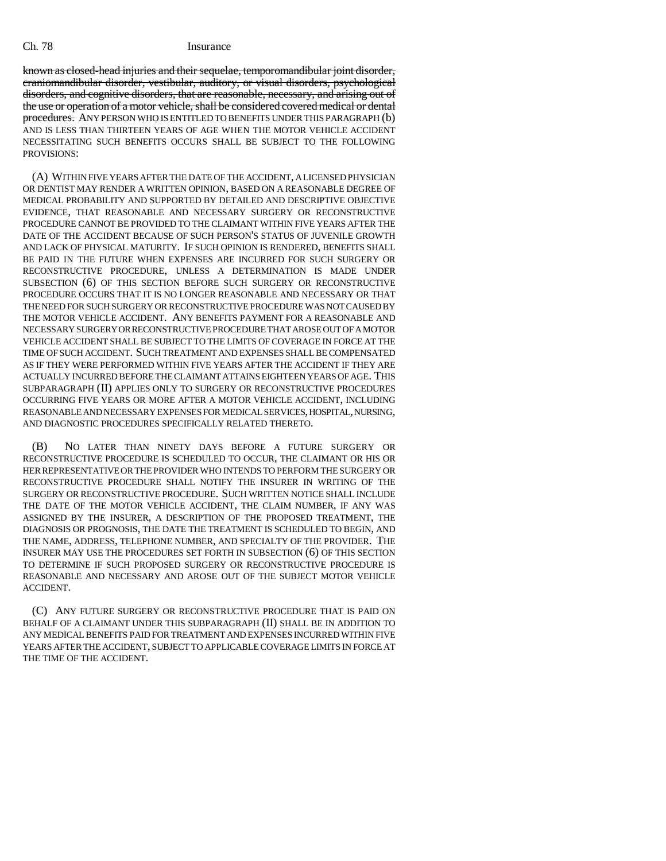## Ch. 78 Insurance

known as closed-head injuries and their sequelae, temporomandibular joint disorder, craniomandibular disorder, vestibular, auditory, or visual disorders, psychological disorders, and cognitive disorders, that are reasonable, necessary, and arising out of the use or operation of a motor vehicle, shall be considered covered medical or dental procedures. ANY PERSON WHO IS ENTITLED TO BENEFITS UNDER THIS PARAGRAPH (b) AND IS LESS THAN THIRTEEN YEARS OF AGE WHEN THE MOTOR VEHICLE ACCIDENT NECESSITATING SUCH BENEFITS OCCURS SHALL BE SUBJECT TO THE FOLLOWING PROVISIONS:

(A) WITHIN FIVE YEARS AFTER THE DATE OF THE ACCIDENT, A LICENSED PHYSICIAN OR DENTIST MAY RENDER A WRITTEN OPINION, BASED ON A REASONABLE DEGREE OF MEDICAL PROBABILITY AND SUPPORTED BY DETAILED AND DESCRIPTIVE OBJECTIVE EVIDENCE, THAT REASONABLE AND NECESSARY SURGERY OR RECONSTRUCTIVE PROCEDURE CANNOT BE PROVIDED TO THE CLAIMANT WITHIN FIVE YEARS AFTER THE DATE OF THE ACCIDENT BECAUSE OF SUCH PERSON'S STATUS OF JUVENILE GROWTH AND LACK OF PHYSICAL MATURITY. IF SUCH OPINION IS RENDERED, BENEFITS SHALL BE PAID IN THE FUTURE WHEN EXPENSES ARE INCURRED FOR SUCH SURGERY OR RECONSTRUCTIVE PROCEDURE, UNLESS A DETERMINATION IS MADE UNDER SUBSECTION (6) OF THIS SECTION BEFORE SUCH SURGERY OR RECONSTRUCTIVE PROCEDURE OCCURS THAT IT IS NO LONGER REASONABLE AND NECESSARY OR THAT THE NEED FOR SUCH SURGERY OR RECONSTRUCTIVE PROCEDURE WAS NOT CAUSED BY THE MOTOR VEHICLE ACCIDENT. ANY BENEFITS PAYMENT FOR A REASONABLE AND NECESSARY SURGERY OR RECONSTRUCTIVE PROCEDURE THAT AROSE OUT OF A MOTOR VEHICLE ACCIDENT SHALL BE SUBJECT TO THE LIMITS OF COVERAGE IN FORCE AT THE TIME OF SUCH ACCIDENT. SUCH TREATMENT AND EXPENSES SHALL BE COMPENSATED AS IF THEY WERE PERFORMED WITHIN FIVE YEARS AFTER THE ACCIDENT IF THEY ARE ACTUALLY INCURRED BEFORE THE CLAIMANT ATTAINS EIGHTEEN YEARS OF AGE. THIS SUBPARAGRAPH (II) APPLIES ONLY TO SURGERY OR RECONSTRUCTIVE PROCEDURES OCCURRING FIVE YEARS OR MORE AFTER A MOTOR VEHICLE ACCIDENT, INCLUDING REASONABLE AND NECESSARY EXPENSES FOR MEDICAL SERVICES, HOSPITAL, NURSING, AND DIAGNOSTIC PROCEDURES SPECIFICALLY RELATED THERETO.

(B) NO LATER THAN NINETY DAYS BEFORE A FUTURE SURGERY OR RECONSTRUCTIVE PROCEDURE IS SCHEDULED TO OCCUR, THE CLAIMANT OR HIS OR HER REPRESENTATIVE OR THE PROVIDER WHO INTENDS TO PERFORM THE SURGERY OR RECONSTRUCTIVE PROCEDURE SHALL NOTIFY THE INSURER IN WRITING OF THE SURGERY OR RECONSTRUCTIVE PROCEDURE. SUCH WRITTEN NOTICE SHALL INCLUDE THE DATE OF THE MOTOR VEHICLE ACCIDENT, THE CLAIM NUMBER, IF ANY WAS ASSIGNED BY THE INSURER, A DESCRIPTION OF THE PROPOSED TREATMENT, THE DIAGNOSIS OR PROGNOSIS, THE DATE THE TREATMENT IS SCHEDULED TO BEGIN, AND THE NAME, ADDRESS, TELEPHONE NUMBER, AND SPECIALTY OF THE PROVIDER. THE INSURER MAY USE THE PROCEDURES SET FORTH IN SUBSECTION (6) OF THIS SECTION TO DETERMINE IF SUCH PROPOSED SURGERY OR RECONSTRUCTIVE PROCEDURE IS REASONABLE AND NECESSARY AND AROSE OUT OF THE SUBJECT MOTOR VEHICLE ACCIDENT.

(C) ANY FUTURE SURGERY OR RECONSTRUCTIVE PROCEDURE THAT IS PAID ON BEHALF OF A CLAIMANT UNDER THIS SUBPARAGRAPH (II) SHALL BE IN ADDITION TO ANY MEDICAL BENEFITS PAID FOR TREATMENT AND EXPENSES INCURRED WITHIN FIVE YEARS AFTER THE ACCIDENT, SUBJECT TO APPLICABLE COVERAGE LIMITS IN FORCE AT THE TIME OF THE ACCIDENT.